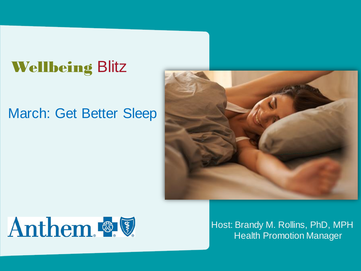### Wellbeing Blitz

### March: Get Better Sleep





Host: Brandy M. Rollins, PhD, MPH Health Promotion Manager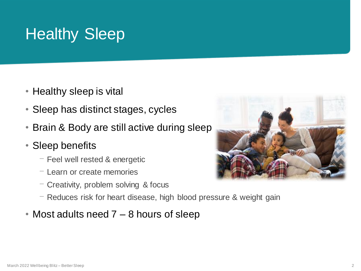# Healthy Sleep

- Healthy sleep is vital
- Sleep has distinct stages, cycles
- Brain & Body are still active during sleep
- Sleep benefits
	- $-$  Feel well rested & energetic
	- ⎻ Learn or create memories
	- $-$  Creativity, problem solving & focus
	- $-$  Reduces risk for heart disease, high blood pressure & weight gain
- Most adults need 7 8 hours of sleep

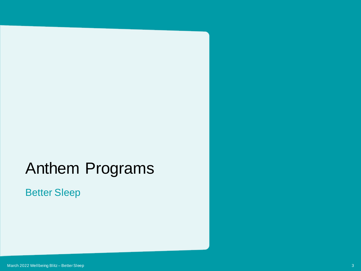### Anthem Programs

#### Better Sleep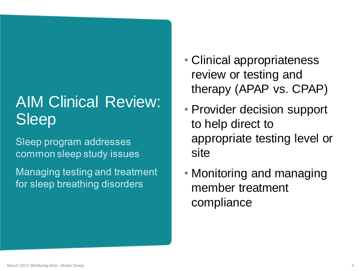# AIM Clinical Review: Sleep

Sleep program addresses common sleep study issues

Managing testing and treatment for sleep breathing disorders

- Clinical appropriateness review or testing and therapy (APAP vs. CPAP)
- Provider decision support to help direct to appropriate testing level or site
- Monitoring and managing member treatment compliance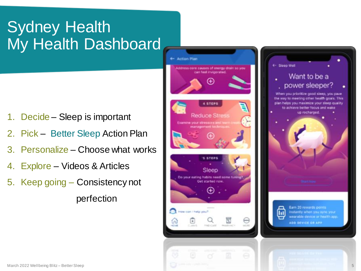# Sydney Health My Health Dashboard

- 1. Decide Sleep is important
- 2. Pick Better Sleep Action Plan
- 3. Personalize Choose what works
- 4. Explore Videos & Articles
- 5. Keep going Consistency not perfection

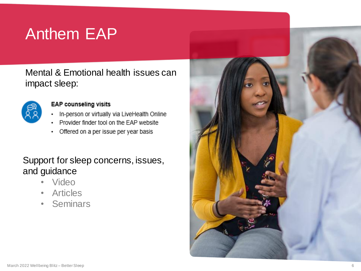## Anthem EAP

Mental & Emotional health issues can impact sleep:



#### **EAP counseling visits**

- In-person or virtually via LiveHealth Online
- Provider finder tool on the EAP website
- Offered on a per issue per year basis ٠

#### Support for sleep concerns, issues, and guidance

- Video
- Articles
- Seminars

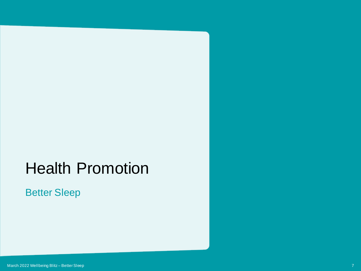### Health Promotion

Better Sleep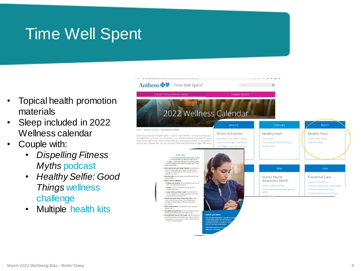## Time Well Spent

- Topical health promotion materials
- Sleep included in 2022 Wellness calendar
- Couple with:
	- *Dispelling Fitness Myths* podcast
	- *Healthy Selfie: Good Things* wellness challenge
	- Multiple health kits

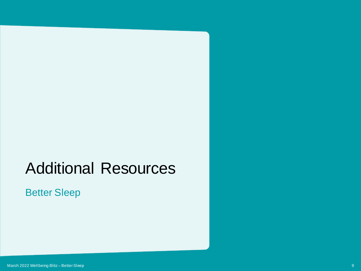### Additional Resources

Better Sleep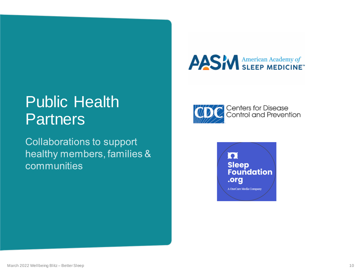### Public Health **Partners**

**Collaborations to support** healthy members, families & communities





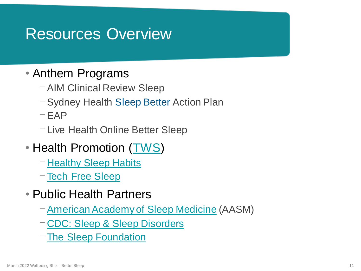### Resources Overview

### • Anthem Programs

- ⎻ AIM Clinical Review Sleep
- ⎻ Sydney Health Sleep Better Action Plan
- $-FAP$
- ⎻ Live Health Online Better Sleep
- Health Promotion [\(TWS](https://timewellspent.anthem.com/employee-education))
	- $\neg$  [Healthy Sleep Habits](https://file.anthem.com/1032732ANMENABS.pdf)
	- $\overline{\phantom{a}}$  [Tech Free Sleep](https://file.anthem.com/119757ANMENABS.pdf)
- Public Health Partners
	- $-$  [American Academy of Sleep Medicine](https://sleepeducation.org/) (AASM)
	- ⎻ [CDC: Sleep & Sleep Disorders](https://www.cdc.gov/sleep/about_us.html)
	- $-$ [The Sleep Foundation](https://www.sleepfoundation.org/)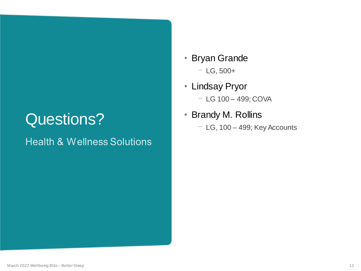### Questions?

#### **Health & Wellness Solutions**

- Bryan Grande  $-$  LG, 500+
- Lindsay Pryor ⎻ LG 100 – 499; COVA
- Brandy M. Rollins
	- $-$  LG, 100 499; Key Accounts